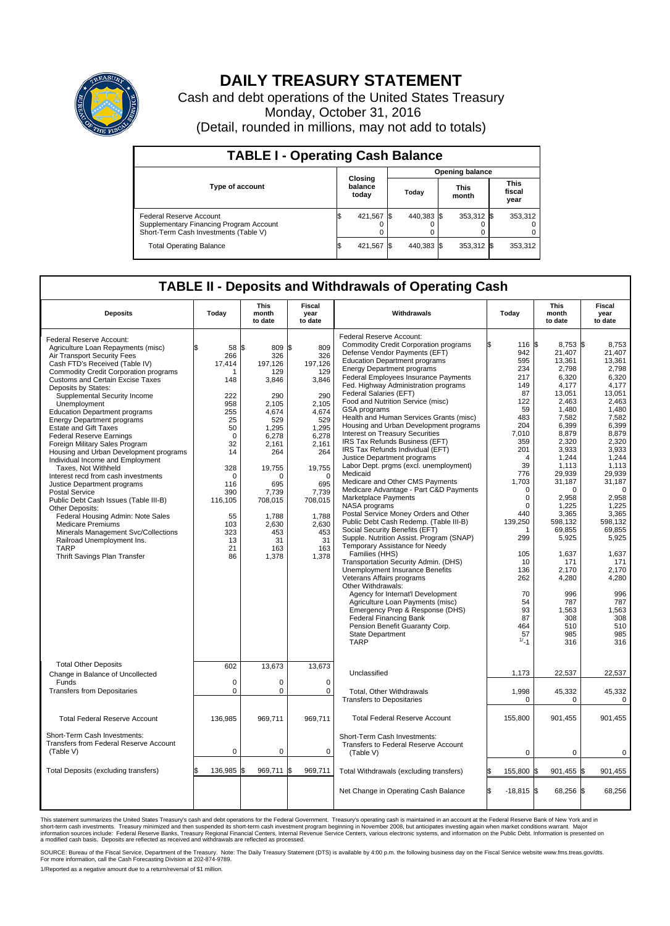

## **DAILY TREASURY STATEMENT**

Cash and debt operations of the United States Treasury Monday, October 31, 2016 (Detail, rounded in millions, may not add to totals)

| <b>TABLE I - Operating Cash Balance</b>                                                                     |                             |            |       |                        |                      |            |                               |         |  |  |  |
|-------------------------------------------------------------------------------------------------------------|-----------------------------|------------|-------|------------------------|----------------------|------------|-------------------------------|---------|--|--|--|
|                                                                                                             |                             |            |       | <b>Opening balance</b> |                      |            |                               |         |  |  |  |
| <b>Type of account</b>                                                                                      | Closing<br>balance<br>today |            | Today |                        | <b>This</b><br>month |            | <b>This</b><br>fiscal<br>year |         |  |  |  |
| Federal Reserve Account<br>Supplementary Financing Program Account<br>Short-Term Cash Investments (Table V) |                             | 421,567    |       | 440,383 \$             |                      | 353,312 \$ |                               | 353,312 |  |  |  |
| <b>Total Operating Balance</b>                                                                              |                             | 421,567 \$ |       | 440.383 \$             |                      | 353,312 \$ |                               | 353,312 |  |  |  |

## **TABLE II - Deposits and Withdrawals of Operating Cash**

| <b>Deposits</b>                                                                                                                                                                                                                                                                                                                                                                                                                                                                                                                                                                                                                                                                                                                                                                                                                                                                                                                          | Today                                                                                                                                                                           | This<br>month<br>to date                                                                                                                                                                                   | Fiscal<br>year<br>to date                                                                                                                                                                                  | Withdrawals                                                                                                                                                                                                                                                                                                                                                                                                                                                                                                                                                                                                                                                                                                                                                                                                                                                                                                                                                                                                                                                                                                                                                                                                                                                                                                                                              | Today                                                                                                                                                                                                                                                                                     | <b>This</b><br>month<br>to date                                                                                                                                                                                                                                                                                                    | Fiscal<br>year<br>to date                                                                                                                                                                                                                                                                                                     |
|------------------------------------------------------------------------------------------------------------------------------------------------------------------------------------------------------------------------------------------------------------------------------------------------------------------------------------------------------------------------------------------------------------------------------------------------------------------------------------------------------------------------------------------------------------------------------------------------------------------------------------------------------------------------------------------------------------------------------------------------------------------------------------------------------------------------------------------------------------------------------------------------------------------------------------------|---------------------------------------------------------------------------------------------------------------------------------------------------------------------------------|------------------------------------------------------------------------------------------------------------------------------------------------------------------------------------------------------------|------------------------------------------------------------------------------------------------------------------------------------------------------------------------------------------------------------|----------------------------------------------------------------------------------------------------------------------------------------------------------------------------------------------------------------------------------------------------------------------------------------------------------------------------------------------------------------------------------------------------------------------------------------------------------------------------------------------------------------------------------------------------------------------------------------------------------------------------------------------------------------------------------------------------------------------------------------------------------------------------------------------------------------------------------------------------------------------------------------------------------------------------------------------------------------------------------------------------------------------------------------------------------------------------------------------------------------------------------------------------------------------------------------------------------------------------------------------------------------------------------------------------------------------------------------------------------|-------------------------------------------------------------------------------------------------------------------------------------------------------------------------------------------------------------------------------------------------------------------------------------------|------------------------------------------------------------------------------------------------------------------------------------------------------------------------------------------------------------------------------------------------------------------------------------------------------------------------------------|-------------------------------------------------------------------------------------------------------------------------------------------------------------------------------------------------------------------------------------------------------------------------------------------------------------------------------|
| Federal Reserve Account:<br>Agriculture Loan Repayments (misc)<br>Air Transport Security Fees<br>Cash FTD's Received (Table IV)<br><b>Commodity Credit Corporation programs</b><br><b>Customs and Certain Excise Taxes</b><br>Deposits by States:<br>Supplemental Security Income<br>Unemployment<br><b>Education Department programs</b><br><b>Energy Department programs</b><br><b>Estate and Gift Taxes</b><br><b>Federal Reserve Earnings</b><br>Foreign Military Sales Program<br>Housing and Urban Development programs<br>Individual Income and Employment<br>Taxes, Not Withheld<br>Interest recd from cash investments<br>Justice Department programs<br><b>Postal Service</b><br>Public Debt Cash Issues (Table III-B)<br>Other Deposits:<br>Federal Housing Admin: Note Sales<br><b>Medicare Premiums</b><br>Minerals Management Svc/Collections<br>Railroad Unemployment Ins.<br><b>TARP</b><br>Thrift Savings Plan Transfer | \$<br>58 \$<br>266<br>17,414<br>1<br>148<br>222<br>958<br>255<br>25<br>50<br>$\mathbf 0$<br>32<br>14<br>328<br>0<br>116<br>390<br>116,105<br>55<br>103<br>323<br>13<br>21<br>86 | 809 \$<br>326<br>197.126<br>129<br>3,846<br>290<br>2.105<br>4,674<br>529<br>1,295<br>6,278<br>2,161<br>264<br>19,755<br>$\Omega$<br>695<br>7,739<br>708,015<br>1,788<br>2,630<br>453<br>31<br>163<br>1,378 | 809<br>326<br>197,126<br>129<br>3,846<br>290<br>2.105<br>4,674<br>529<br>1,295<br>6,278<br>2,161<br>264<br>19,755<br>$\mathbf 0$<br>695<br>7,739<br>708,015<br>1,788<br>2,630<br>453<br>31<br>163<br>1,378 | Federal Reserve Account:<br><b>Commodity Credit Corporation programs</b><br>Defense Vendor Payments (EFT)<br><b>Education Department programs</b><br><b>Energy Department programs</b><br><b>Federal Employees Insurance Payments</b><br>Fed. Highway Administration programs<br>Federal Salaries (EFT)<br>Food and Nutrition Service (misc)<br><b>GSA</b> programs<br>Health and Human Services Grants (misc)<br>Housing and Urban Development programs<br>Interest on Treasury Securities<br>IRS Tax Refunds Business (EFT)<br>IRS Tax Refunds Individual (EFT)<br>Justice Department programs<br>Labor Dept. prgms (excl. unemployment)<br>Medicaid<br>Medicare and Other CMS Payments<br>Medicare Advantage - Part C&D Payments<br>Marketplace Payments<br>NASA programs<br>Postal Service Money Orders and Other<br>Public Debt Cash Redemp. (Table III-B)<br>Social Security Benefits (EFT)<br>Supple. Nutrition Assist. Program (SNAP)<br>Temporary Assistance for Needy<br>Families (HHS)<br>Transportation Security Admin. (DHS)<br>Unemployment Insurance Benefits<br>Veterans Affairs programs<br>Other Withdrawals:<br>Agency for Internat'l Development<br>Agriculture Loan Payments (misc)<br>Emergency Prep & Response (DHS)<br><b>Federal Financing Bank</b><br>Pension Benefit Guaranty Corp.<br><b>State Department</b><br><b>TARP</b> | 116 \$<br>942<br>595<br>234<br>217<br>149<br>87<br>122<br>59<br>483<br>204<br>7.010<br>359<br>201<br>$\overline{4}$<br>39<br>776<br>1,703<br>$\mathbf 0$<br>$\mathbf 0$<br>$\Omega$<br>440<br>139,250<br>299<br>105<br>10<br>136<br>262<br>70<br>54<br>93<br>87<br>464<br>$^{157}_{1/-1}$ | $8,753$ \$<br>21,407<br>13,361<br>2,798<br>6,320<br>4.177<br>13,051<br>2,463<br>1,480<br>7,582<br>6,399<br>8,879<br>2,320<br>3,933<br>1.244<br>1,113<br>29,939<br>31,187<br>$\Omega$<br>2,958<br>1,225<br>3,365<br>598,132<br>69,855<br>5,925<br>1,637<br>171<br>2,170<br>4,280<br>996<br>787<br>1,563<br>308<br>510<br>985<br>316 | 8,753<br>21,407<br>13.361<br>2,798<br>6,320<br>4,177<br>13,051<br>2,463<br>1,480<br>7,582<br>6,399<br>8,879<br>2,320<br>3,933<br>1.244<br>1,113<br>29,939<br>31,187<br>$\Omega$<br>2,958<br>1,225<br>3,365<br>598,132<br>69,855<br>5,925<br>1,637<br>171<br>2,170<br>4,280<br>996<br>787<br>1,563<br>308<br>510<br>985<br>316 |
| <b>Total Other Deposits</b><br>Change in Balance of Uncollected<br>Funds<br><b>Transfers from Depositaries</b>                                                                                                                                                                                                                                                                                                                                                                                                                                                                                                                                                                                                                                                                                                                                                                                                                           | 602<br>$\mathbf 0$<br>0                                                                                                                                                         | 13,673<br>$\mathbf 0$<br>$\mathbf 0$                                                                                                                                                                       | 13,673<br>$\mathbf 0$<br>$\mathbf 0$                                                                                                                                                                       | Unclassified<br>Total, Other Withdrawals<br><b>Transfers to Depositaries</b>                                                                                                                                                                                                                                                                                                                                                                                                                                                                                                                                                                                                                                                                                                                                                                                                                                                                                                                                                                                                                                                                                                                                                                                                                                                                             | 1,173<br>1,998<br>$\mathbf 0$                                                                                                                                                                                                                                                             | 22,537<br>45,332<br>$\Omega$                                                                                                                                                                                                                                                                                                       | 22,537<br>45,332<br>0                                                                                                                                                                                                                                                                                                         |
| <b>Total Federal Reserve Account</b>                                                                                                                                                                                                                                                                                                                                                                                                                                                                                                                                                                                                                                                                                                                                                                                                                                                                                                     | 136,985                                                                                                                                                                         | 969.711                                                                                                                                                                                                    | 969,711                                                                                                                                                                                                    | <b>Total Federal Reserve Account</b>                                                                                                                                                                                                                                                                                                                                                                                                                                                                                                                                                                                                                                                                                                                                                                                                                                                                                                                                                                                                                                                                                                                                                                                                                                                                                                                     | 155.800                                                                                                                                                                                                                                                                                   | 901.455                                                                                                                                                                                                                                                                                                                            | 901,455                                                                                                                                                                                                                                                                                                                       |
| Short-Term Cash Investments:<br>Transfers from Federal Reserve Account<br>(Table V)                                                                                                                                                                                                                                                                                                                                                                                                                                                                                                                                                                                                                                                                                                                                                                                                                                                      | $\mathbf 0$                                                                                                                                                                     | $\mathbf 0$                                                                                                                                                                                                | $\mathbf 0$                                                                                                                                                                                                | Short-Term Cash Investments:<br>Transfers to Federal Reserve Account<br>(Table V)                                                                                                                                                                                                                                                                                                                                                                                                                                                                                                                                                                                                                                                                                                                                                                                                                                                                                                                                                                                                                                                                                                                                                                                                                                                                        | 0                                                                                                                                                                                                                                                                                         | $\mathbf 0$                                                                                                                                                                                                                                                                                                                        | 0                                                                                                                                                                                                                                                                                                                             |
| Total Deposits (excluding transfers)                                                                                                                                                                                                                                                                                                                                                                                                                                                                                                                                                                                                                                                                                                                                                                                                                                                                                                     | 136,985                                                                                                                                                                         | 969,711 \$<br>ß                                                                                                                                                                                            | 969,711                                                                                                                                                                                                    | Total Withdrawals (excluding transfers)                                                                                                                                                                                                                                                                                                                                                                                                                                                                                                                                                                                                                                                                                                                                                                                                                                                                                                                                                                                                                                                                                                                                                                                                                                                                                                                  | 155,800                                                                                                                                                                                                                                                                                   | ß.<br>$901,455$ \$                                                                                                                                                                                                                                                                                                                 | 901.455                                                                                                                                                                                                                                                                                                                       |
|                                                                                                                                                                                                                                                                                                                                                                                                                                                                                                                                                                                                                                                                                                                                                                                                                                                                                                                                          |                                                                                                                                                                                 |                                                                                                                                                                                                            |                                                                                                                                                                                                            | Net Change in Operating Cash Balance                                                                                                                                                                                                                                                                                                                                                                                                                                                                                                                                                                                                                                                                                                                                                                                                                                                                                                                                                                                                                                                                                                                                                                                                                                                                                                                     | $-18,815$ \$<br>ጵ                                                                                                                                                                                                                                                                         | 68,256                                                                                                                                                                                                                                                                                                                             | 68,256<br>1\$                                                                                                                                                                                                                                                                                                                 |

This statement summarizes the United States Treasury's cash and debt operations for the Federal Government. Treasury's operating cash is maintained in an account at the Federal Reserve Bank of New York and in<br>short-term ca

SOURCE: Bureau of the Fiscal Service, Department of the Treasury. Note: The Daily Treasury Statement (DTS) is available by 4:00 p.m. the following business day on the Fiscal Service website www.fms.treas.gov/dts.<br>For more

1/Reported as a negative amount due to a return/reversal of \$1 million.